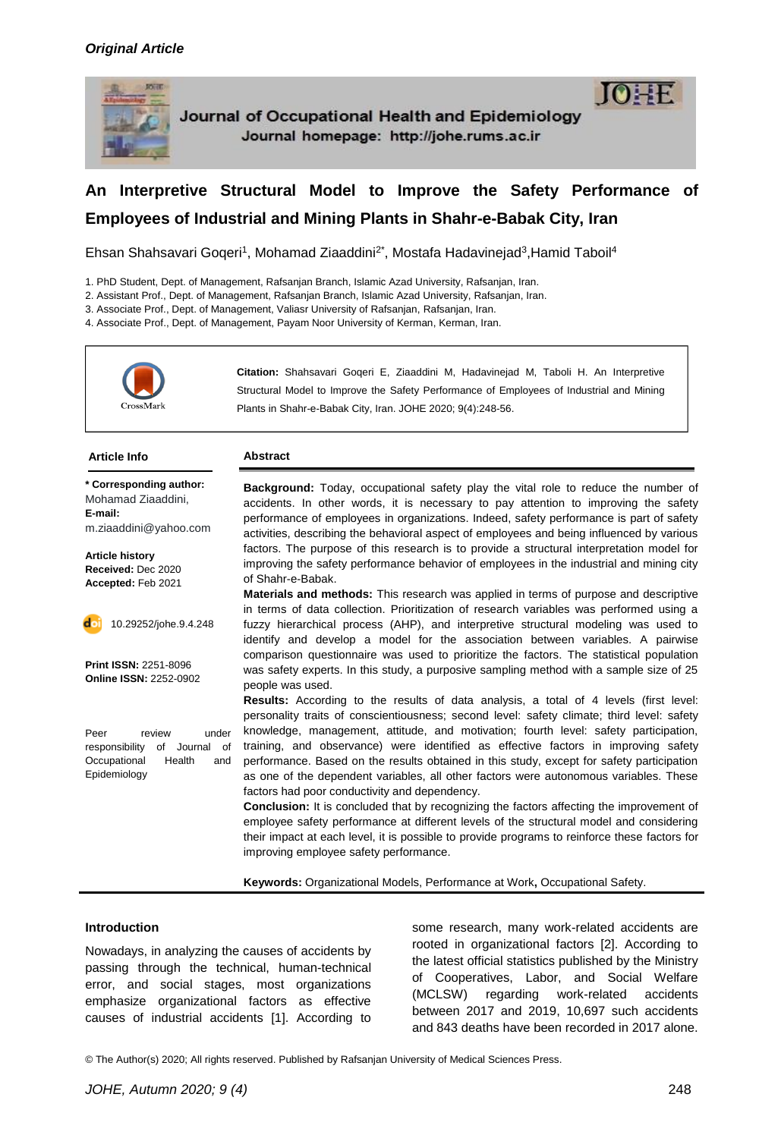

Journal of Occupational Health and Epidemiology Journal homepage: http://johe.rums.ac.ir



Ehsan Shahsavari Goqeri<sup>1</sup>, Mohamad Ziaaddini<sup>2\*</sup>, Mostafa Hadavinejad<sup>3</sup>,Hamid Taboil<sup>4</sup>

1. PhD Student, Dept. of Management, Rafsanjan Branch, Islamic Azad University, Rafsanjan, Iran.

2. Assistant Prof., Dept. of Management, Rafsanjan Branch, Islamic Azad University, Rafsanjan, Iran.

3. Associate Prof., Dept. of Management, Valiasr University of Rafsanjan, Rafsanjan, Iran.

4. Associate Prof., Dept. of Management, Payam Noor University of Kerman, Kerman, Iran.



**Citation:** Shahsavari Goqeri E, Ziaaddini M, Hadavinejad M, Taboli H. An Interpretive Structural Model to Improve the Safety Performance of Employees of Industrial and Mining Plants in Shahr-e-Babak City, Iran. JOHE 2020; 9(4):248-56.

#### **Article Info Abstract**

**\* Corresponding author:** Mohamad Ziaaddini, **E-mail:** m.ziaaddini@yahoo.com

**Article history Received:** Dec 2020 **Accepted:** Feb 2021



**Print ISSN:** 2251-8096 **Online ISSN:** 2252-0902

Peer review under responsibility of Journal of Occupational Health and Epidemiology

**Background:** Today, occupational safety play the vital role to reduce the number of accidents. In other words, it is necessary to pay attention to improving the safety performance of employees in organizations. Indeed, safety performance is part of safety activities, describing the behavioral aspect of employees and being influenced by various factors. The purpose of this research is to provide a structural interpretation model for improving the safety performance behavior of employees in the industrial and mining city of Shahr-e-Babak.

**Materials and methods:** This research was applied in terms of purpose and descriptive in terms of data collection. Prioritization of research variables was performed using a fuzzy hierarchical process (AHP), and interpretive structural modeling was used to identify and develop a model for the association between variables. A pairwise comparison questionnaire was used to prioritize the factors. The statistical population was safety experts. In this study, a purposive sampling method with a sample size of 25 people was used.

**Results:** According to the results of data analysis, a total of 4 levels (first level: personality traits of conscientiousness; second level: safety climate; third level: safety knowledge, management, attitude, and motivation; fourth level: safety participation, training, and observance) were identified as effective factors in improving safety performance. Based on the results obtained in this study, except for safety participation as one of the dependent variables, all other factors were autonomous variables. These factors had poor conductivity and dependency.

**Conclusion:** It is concluded that by recognizing the factors affecting the improvement of employee safety performance at different levels of the structural model and considering their impact at each level, it is possible to provide programs to reinforce these factors for improving employee safety performance.

**Keywords:** Organizational Models, Performance at Work**,** Occupational Safety.

# **Introduction**

Nowadays, in analyzing the causes of accidents by passing through the technical, human-technical error, and social stages, most organizations emphasize organizational factors as effective causes of industrial accidents [1]. According to

some research, many work-related accidents are rooted in organizational factors [2]. According to the latest official statistics published by the Ministry of Cooperatives, Labor, and Social Welfare (MCLSW) regarding work-related accidents between 2017 and 2019, 10,697 such accidents and 843 deaths have been recorded in 2017 alone.

© The Author(s) 2020; All rights reserved. Published by Rafsanjan University of Medical Sciences Press.

**10:3E**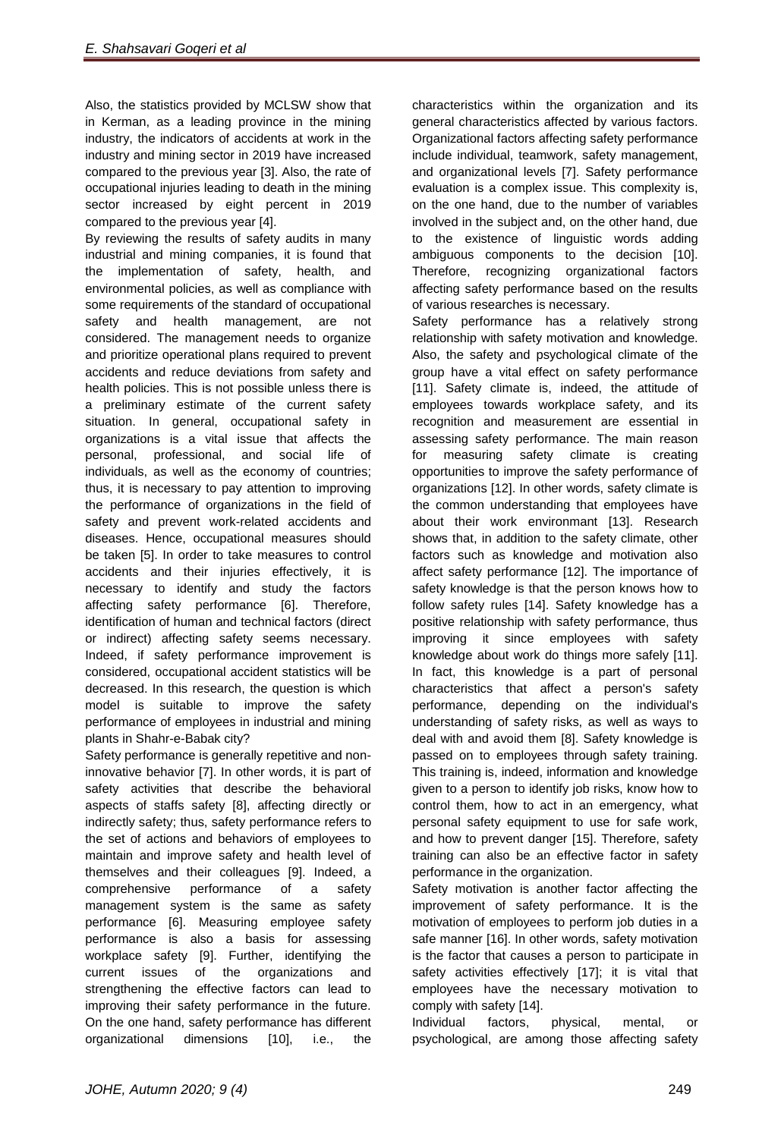Also, the statistics provided by MCLSW show that in Kerman, as a leading province in the mining industry, the indicators of accidents at work in the industry and mining sector in 2019 have increased compared to the previous year [3]. Also, the rate of occupational injuries leading to death in the mining sector increased by eight percent in 2019 compared to the previous year [4].

By reviewing the results of safety audits in many industrial and mining companies, it is found that the implementation of safety, health, and environmental policies, as well as compliance with some requirements of the standard of occupational safety and health management, are not considered. The management needs to organize and prioritize operational plans required to prevent accidents and reduce deviations from safety and health policies. This is not possible unless there is a preliminary estimate of the current safety situation. In general, occupational safety in organizations is a vital issue that affects the personal, professional, and social life of individuals, as well as the economy of countries; thus, it is necessary to pay attention to improving the performance of organizations in the field of safety and prevent work-related accidents and diseases. Hence, occupational measures should be taken [5]. In order to take measures to control accidents and their injuries effectively, it is necessary to identify and study the factors affecting safety performance [6]. Therefore, identification of human and technical factors (direct or indirect) affecting safety seems necessary. Indeed, if safety performance improvement is considered, occupational accident statistics will be decreased. In this research, the question is which model is suitable to improve the safety performance of employees in industrial and mining plants in Shahr-e-Babak city?

Safety performance is generally repetitive and noninnovative behavior [7]. In other words, it is part of safety activities that describe the behavioral aspects of staffs safety [8], affecting directly or indirectly safety; thus, safety performance refers to the set of actions and behaviors of employees to maintain and improve safety and health level of themselves and their colleagues [9]. Indeed, a comprehensive performance of a safety management system is the same as safety performance [6]. Measuring employee safety performance is also a basis for assessing workplace safety [9]. Further, identifying the current issues of the organizations and strengthening the effective factors can lead to improving their safety performance in the future. On the one hand, safety performance has different organizational dimensions [10], i.e., the

characteristics within the organization and its general characteristics affected by various factors. Organizational factors affecting safety performance include individual, teamwork, safety management, and organizational levels [7]. Safety performance evaluation is a complex issue. This complexity is, on the one hand, due to the number of variables involved in the subject and, on the other hand, due to the existence of linguistic words adding ambiguous components to the decision [10]. Therefore, recognizing organizational factors affecting safety performance based on the results of various researches is necessary.

Safety performance has a relatively strong relationship with safety motivation and knowledge. Also, the safety and psychological climate of the group have a vital effect on safety performance [11]. Safety climate is, indeed, the attitude of employees towards workplace safety, and its recognition and measurement are essential in assessing safety performance. The main reason for measuring safety climate is creating opportunities to improve the safety performance of organizations [12]. In other words, safety climate is the common understanding that employees have about their work environmant [13]. Research shows that, in addition to the safety climate, other factors such as knowledge and motivation also affect safety performance [12]. The importance of safety knowledge is that the person knows how to follow safety rules [14]. Safety knowledge has a positive relationship with safety performance, thus improving it since employees with safety knowledge about work do things more safely [11]. In fact, this knowledge is a part of personal characteristics that affect a person's safety performance, depending on the individual's understanding of safety risks, as well as ways to deal with and avoid them [8]. Safety knowledge is passed on to employees through safety training. This training is, indeed, information and knowledge given to a person to identify job risks, know how to control them, how to act in an emergency, what personal safety equipment to use for safe work, and how to prevent danger [15]. Therefore, safety training can also be an effective factor in safety performance in the organization.

Safety motivation is another factor affecting the improvement of safety performance. It is the motivation of employees to perform job duties in a safe manner [16]. In other words, safety motivation is the factor that causes a person to participate in safety activities effectively [17]; it is vital that employees have the necessary motivation to comply with safety [14].

Individual factors, physical, mental, or psychological, are among those affecting safety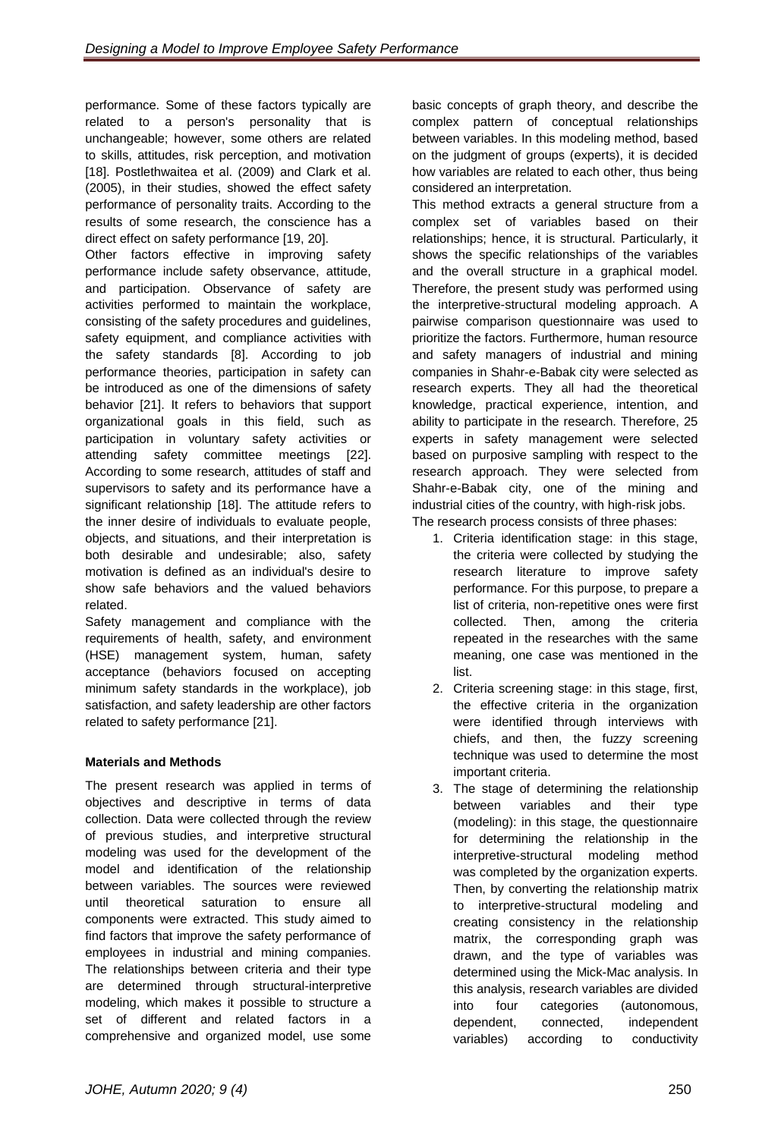performance. Some of these factors typically are related to a person's personality that is unchangeable; however, some others are related to skills, attitudes, risk perception, and motivation [18]. Postlethwaitea et al. (2009) and Clark et al. (2005), in their studies, showed the effect safety performance of personality traits. According to the results of some research, the conscience has a direct effect on safety performance [19, 20].

Other factors effective in improving safety performance include safety observance, attitude, and participation. Observance of safety are activities performed to maintain the workplace, consisting of the safety procedures and guidelines, safety equipment, and compliance activities with the safety standards [8]. According to job performance theories, participation in safety can be introduced as one of the dimensions of safety behavior [21]. It refers to behaviors that support organizational goals in this field, such as participation in voluntary safety activities or attending safety committee meetings [22]. According to some research, attitudes of staff and supervisors to safety and its performance have a significant relationship [18]. The attitude refers to the inner desire of individuals to evaluate people, objects, and situations, and their interpretation is both desirable and undesirable; also, safety motivation is defined as an individual's desire to show safe behaviors and the valued behaviors related.

Safety management and compliance with the requirements of health, safety, and environment (HSE) management system, human, safety acceptance (behaviors focused on accepting minimum safety standards in the workplace), job satisfaction, and safety leadership are other factors related to safety performance [21].

# **Materials and Methods**

The present research was applied in terms of objectives and descriptive in terms of data collection. Data were collected through the review of previous studies, and interpretive structural modeling was used for the development of the model and identification of the relationship between variables. The sources were reviewed until theoretical saturation to ensure all components were extracted. This study aimed to find factors that improve the safety performance of employees in industrial and mining companies. The relationships between criteria and their type are determined through structural-interpretive modeling, which makes it possible to structure a set of different and related factors in a comprehensive and organized model, use some

basic concepts of graph theory, and describe the complex pattern of conceptual relationships between variables. In this modeling method, based on the judgment of groups (experts), it is decided how variables are related to each other, thus being considered an interpretation.

This method extracts a general structure from a complex set of variables based on their relationships; hence, it is structural. Particularly, it shows the specific relationships of the variables and the overall structure in a graphical model. Therefore, the present study was performed using the interpretive-structural modeling approach. A pairwise comparison questionnaire was used to prioritize the factors. Furthermore, human resource and safety managers of industrial and mining companies in Shahr-e-Babak city were selected as research experts. They all had the theoretical knowledge, practical experience, intention, and ability to participate in the research. Therefore, 25 experts in safety management were selected based on purposive sampling with respect to the research approach. They were selected from Shahr-e-Babak city, one of the mining and industrial cities of the country, with high-risk jobs. The research process consists of three phases:

- 1. Criteria identification stage: in this stage, the criteria were collected by studying the research literature to improve safety performance. For this purpose, to prepare a list of criteria, non-repetitive ones were first collected. Then, among the criteria repeated in the researches with the same meaning, one case was mentioned in the list.
- 2. Criteria screening stage: in this stage, first, the effective criteria in the organization were identified through interviews with chiefs, and then, the fuzzy screening technique was used to determine the most important criteria.
- 3. The stage of determining the relationship between variables and their type (modeling): in this stage, the questionnaire for determining the relationship in the interpretive-structural modeling method was completed by the organization experts. Then, by converting the relationship matrix to interpretive-structural modeling and creating consistency in the relationship matrix, the corresponding graph was drawn, and the type of variables was determined using the Mick-Mac analysis. In this analysis, research variables are divided into four categories (autonomous, dependent, connected, independent variables) according to conductivity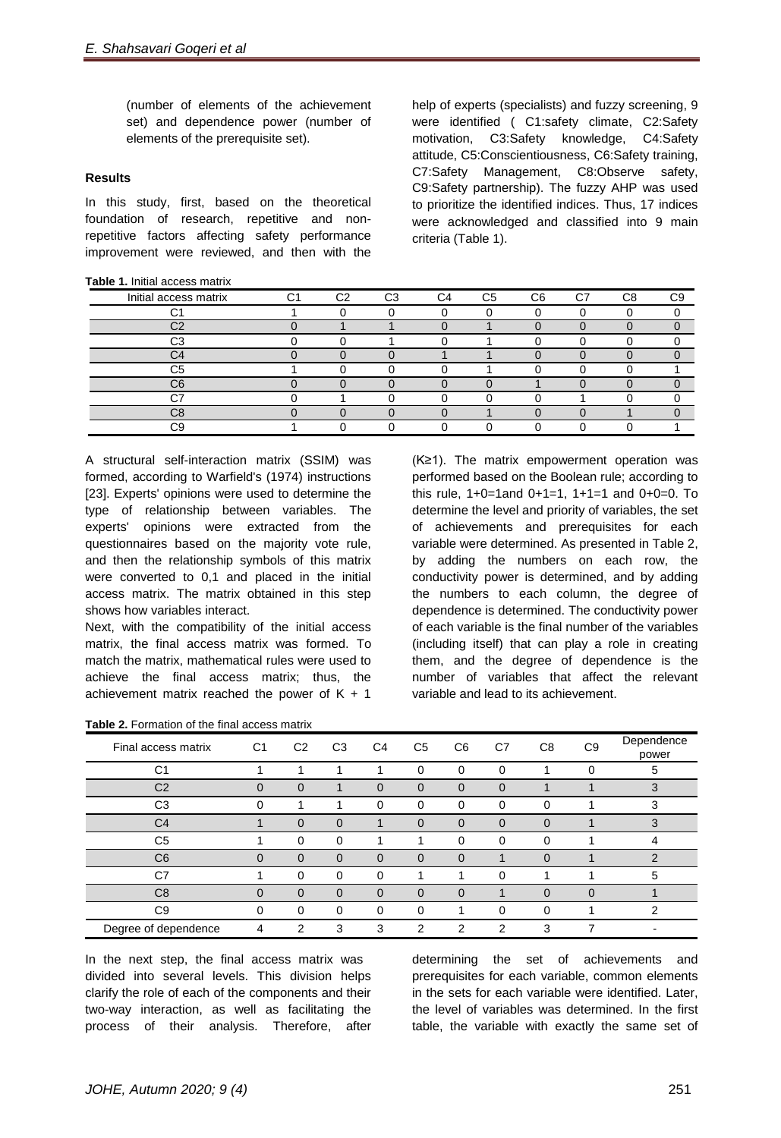(number of elements of the achievement set) and dependence power (number of elements of the prerequisite set).

## **Results**

In this study, first, based on the theoretical foundation of research, repetitive and nonrepetitive factors affecting safety performance improvement were reviewed, and then with the

### **Table 1.** Initial access matrix

help of experts (specialists) and fuzzy screening, 9 were identified ( C1:safety climate, C2:Safety motivation, C3:Safety knowledge, C4:Safety attitude, C5:Conscientiousness, C6:Safety training, C7:Safety Management, C8:Observe safety, C9:Safety partnership). The fuzzy AHP was used to prioritize the identified indices. Thus, 17 indices were acknowledged and classified into 9 main criteria (Table 1).

| Initial access matrix | $\sim$ | C <sub>2</sub> | C <sub>3</sub> | $\alpha$ | C <sub>5</sub> | C <sub>6</sub> | C7 | C <sub>8</sub> | rα |
|-----------------------|--------|----------------|----------------|----------|----------------|----------------|----|----------------|----|
|                       |        |                |                |          |                |                |    |                |    |
| $\sim$                |        |                |                |          |                |                |    |                |    |
| $\sim$                |        |                |                |          |                |                |    |                |    |
| $\sim$                |        |                |                |          |                |                |    |                |    |
| C5                    |        |                |                |          |                |                |    |                |    |
| C6                    |        |                |                |          |                |                |    |                |    |
| $\sim$                |        |                |                |          |                |                |    |                |    |
| rς                    |        |                |                |          |                |                |    |                |    |
|                       |        |                |                |          |                |                |    |                |    |

A structural self-interaction matrix (SSIM) was formed, according to Warfield's (1974) instructions [23]. Experts' opinions were used to determine the type of relationship between variables. The experts' opinions were extracted from the questionnaires based on the majority vote rule, and then the relationship symbols of this matrix were converted to 0,1 and placed in the initial access matrix. The matrix obtained in this step shows how variables interact.

Next, with the compatibility of the initial access matrix, the final access matrix was formed. To match the matrix, mathematical rules were used to achieve the final access matrix; thus, the achievement matrix reached the power of  $K + 1$ 

|  | <b>Table 2.</b> Formation of the final access matrix |  |  |  |
|--|------------------------------------------------------|--|--|--|
|--|------------------------------------------------------|--|--|--|

(K≥1). The matrix empowerment operation was performed based on the Boolean rule; according to this rule, 1+0=1and 0+1=1, 1+1=1 and 0+0=0. To determine the level and priority of variables, the set of achievements and prerequisites for each variable were determined. As presented in Table 2, by adding the numbers on each row, the conductivity power is determined, and by adding the numbers to each column, the degree of dependence is determined. The conductivity power of each variable is the final number of the variables (including itself) that can play a role in creating them, and the degree of dependence is the number of variables that affect the relevant variable and lead to its achievement.

| Final access matrix  | C <sub>1</sub> | C <sub>2</sub> | C <sub>3</sub> | C <sub>4</sub> | C <sub>5</sub> | C6             | C <sub>7</sub> | C <sub>8</sub> | C <sub>9</sub> | Dependence<br>power |
|----------------------|----------------|----------------|----------------|----------------|----------------|----------------|----------------|----------------|----------------|---------------------|
| C <sub>1</sub>       |                |                |                |                | $\Omega$       | $\Omega$       | $\Omega$       |                | 0              | 5                   |
| C <sub>2</sub>       | $\Omega$       | $\Omega$       |                | 0              | $\Omega$       | $\Omega$       | $\Omega$       |                |                | 3                   |
| C <sub>3</sub>       | $\Omega$       |                |                | $\Omega$       | $\Omega$       | $\Omega$       | $\Omega$       | 0              |                | 3                   |
| C <sub>4</sub>       |                | $\overline{0}$ | 0              |                | $\overline{0}$ | $\overline{0}$ | $\Omega$       | $\Omega$       |                | 3                   |
| C <sub>5</sub>       |                | $\Omega$       | 0              |                |                | $\Omega$       | 0              | 0              |                |                     |
| C <sub>6</sub>       | $\overline{0}$ | $\overline{0}$ | $\overline{0}$ | $\Omega$       | $\Omega$       | $\Omega$       |                | $\Omega$       |                | ◠                   |
| C7                   |                | $\Omega$       | 0              | 0              |                |                | 0              |                |                | 5                   |
| C <sub>8</sub>       | $\Omega$       | $\overline{0}$ | $\Omega$       | $\Omega$       | $\Omega$       | $\Omega$       |                | $\overline{0}$ | $\Omega$       |                     |
| C <sub>9</sub>       | 0              | $\Omega$       | 0              | $\Omega$       | $\Omega$       |                | 0              | $\Omega$       |                | 2                   |
| Degree of dependence | 4              | っ              | 3              | 3              | C              | C              | C              | 3              | ⇁              |                     |

In the next step, the final access matrix was divided into several levels. This division helps clarify the role of each of the components and their two-way interaction, as well as facilitating the process of their analysis. Therefore, after

determining the set of achievements and prerequisites for each variable, common elements in the sets for each variable were identified. Later, the level of variables was determined. In the first table, the variable with exactly the same set of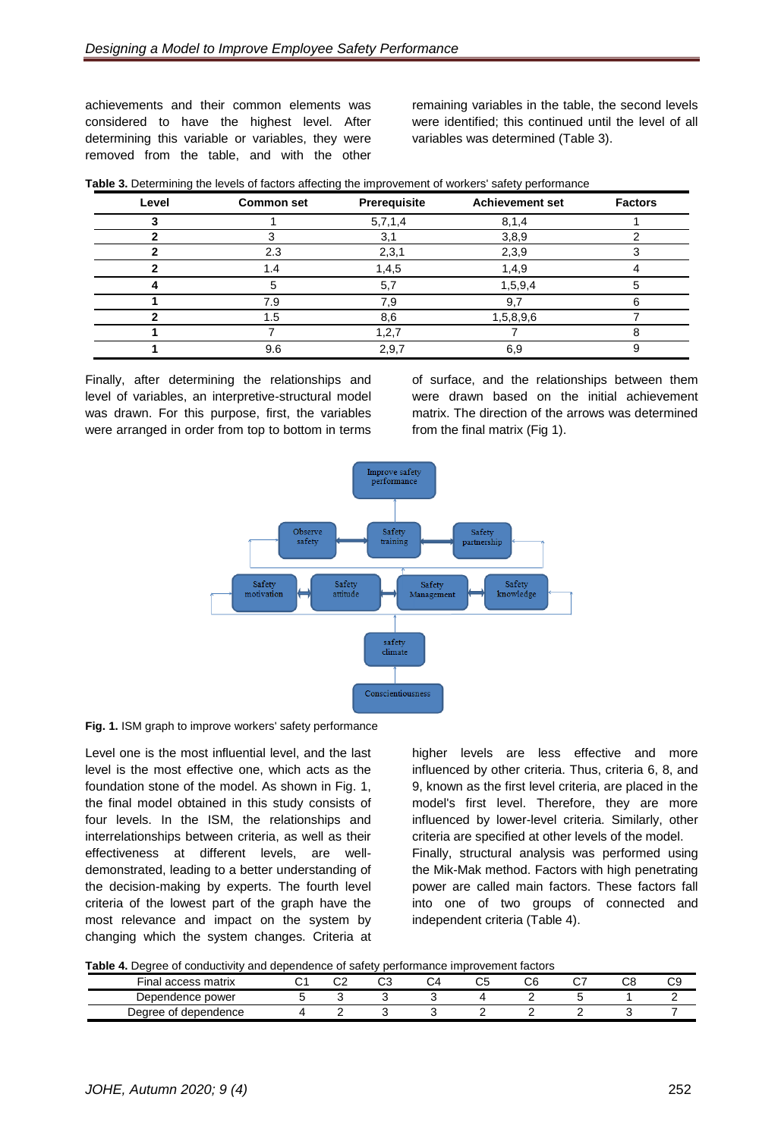achievements and their common elements was considered to have the highest level. After determining this variable or variables, they were removed from the table, and with the other

remaining variables in the table, the second levels were identified; this continued until the level of all variables was determined (Table 3).

| Level | <b>Common set</b> | Prerequisite | <b>Achievement set</b> | <b>Factors</b> |
|-------|-------------------|--------------|------------------------|----------------|
|       |                   | 5,7,1,4      | 8,1,4                  |                |
|       |                   | 3,1          | 3,8,9                  |                |
|       | 2.3               | 2,3,1        | 2,3,9                  |                |
|       | 1.4               | 1,4,5        | 1,4,9                  |                |
|       |                   | 5,7          | 1,5,9,4                |                |
|       | 7.9               | 7,9          | 9.7                    | 6              |
|       | 1.5               | 8,6          | 1,5,8,9,6              |                |
|       |                   | 1, 2, 7      |                        |                |
|       | 9.6               | 2,9,7        | 6,9                    | 9              |

**Table 3.** Determining the levels of factors affecting the improvement of workers' safety performance

Finally, after determining the relationships and level of variables, an interpretive-structural model was drawn. For this purpose, first, the variables were arranged in order from top to bottom in terms

of surface, and the relationships between them were drawn based on the initial achievement matrix. The direction of the arrows was determined from the final matrix (Fig 1).



**Fig. 1.** ISM graph to improve workers' safety performance

Level one is the most influential level, and the last level is the most effective one, which acts as the foundation stone of the model. As shown in Fig. 1, the final model obtained in this study consists of four levels. In the ISM, the relationships and interrelationships between criteria, as well as their effectiveness at different levels, are welldemonstrated, leading to a better understanding of the decision-making by experts. The fourth level criteria of the lowest part of the graph have the most relevance and impact on the system by changing which the system changes. Criteria at

higher levels are less effective and more influenced by other criteria. Thus, criteria 6, 8, and 9, known as the first level criteria, are placed in the model's first level. Therefore, they are more influenced by lower-level criteria. Similarly, other criteria are specified at other levels of the model. Finally, structural analysis was performed using the Mik-Mak method. Factors with high penetrating power are called main factors. These factors fall into one of two groups of connected and independent criteria (Table 4).

|  |  |  | Table 4. Degree of conductivity and dependence of safety performance improvement factors |
|--|--|--|------------------------------------------------------------------------------------------|
|  |  |  |                                                                                          |

| Final access matrix     | ົ. | <b>rr</b><br>◡▵ | $\sim$<br>◡ | ∽ | ັບພ | <b>rr</b><br>UL | ~- | r c<br>w | ~~<br>ັ |
|-------------------------|----|-----------------|-------------|---|-----|-----------------|----|----------|---------|
| , power<br>Dependence r |    |                 |             |   |     |                 |    |          |         |
| Degree of dependence    |    |                 |             |   |     |                 |    |          |         |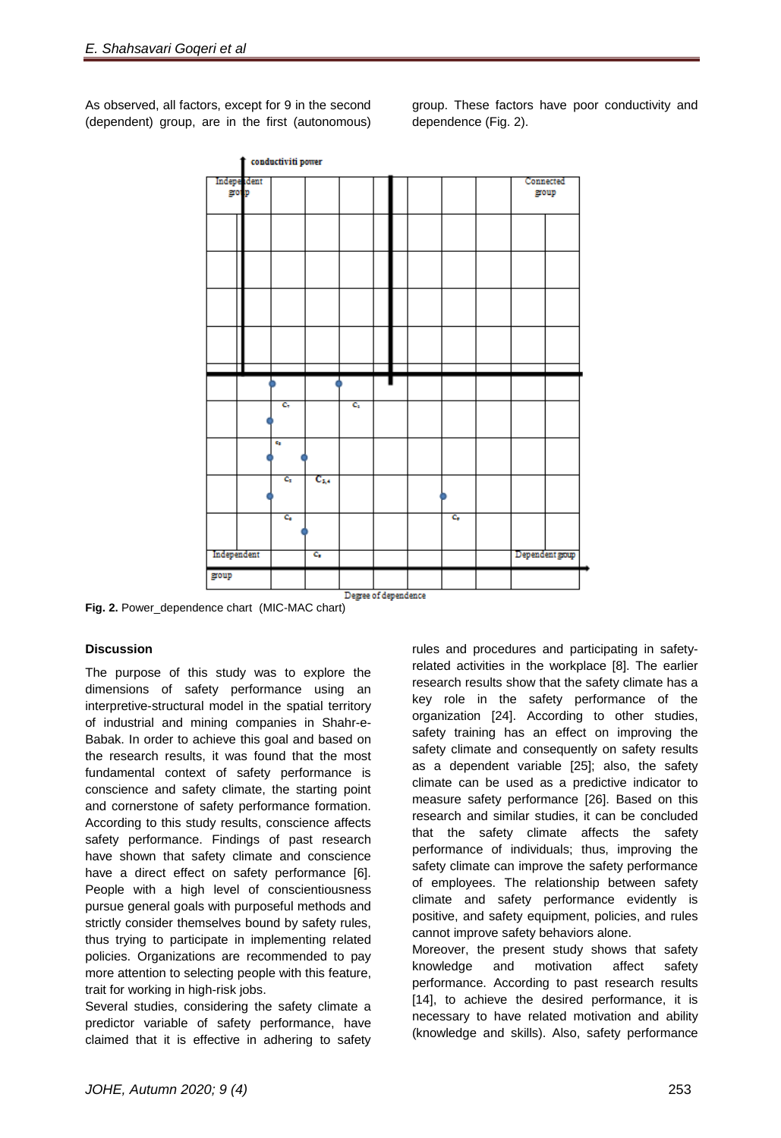As observed, all factors, except for 9 in the second (dependent) group, are in the first (autonomous)

group. These factors have poor conductivity and dependence (Fig. 2).



**Fig. 2.** Power\_dependence chart (MIC-MAC chart)

# **Discussion**

The purpose of this study was to explore the dimensions of safety performance using an interpretive-structural model in the spatial territory of industrial and mining companies in Shahr-e-Babak. In order to achieve this goal and based on the research results, it was found that the most fundamental context of safety performance is conscience and safety climate, the starting point and cornerstone of safety performance formation. According to this study results, conscience affects safety performance. Findings of past research have shown that safety climate and conscience have a direct effect on safety performance [6]. People with a high level of conscientiousness pursue general goals with purposeful methods and strictly consider themselves bound by safety rules, thus trying to participate in implementing related policies. Organizations are recommended to pay more attention to selecting people with this feature, trait for working in high-risk jobs.

Several studies, considering the safety climate a predictor variable of safety performance, have claimed that it is effective in adhering to safety

rules and procedures and participating in safetyrelated activities in the workplace [8]. The earlier research results show that the safety climate has a key role in the safety performance of the organization [24]. According to other studies, safety training has an effect on improving the safety climate and consequently on safety results as a dependent variable [25]; also, the safety climate can be used as a predictive indicator to measure safety performance [26]. Based on this research and similar studies, it can be concluded that the safety climate affects the safety performance of individuals; thus, improving the safety climate can improve the safety performance of employees. The relationship between safety climate and safety performance evidently is positive, and safety equipment, policies, and rules cannot improve safety behaviors alone.

Moreover, the present study shows that safety knowledge and motivation affect safety performance. According to past research results [14], to achieve the desired performance, it is necessary to have related motivation and ability (knowledge and skills). Also, safety performance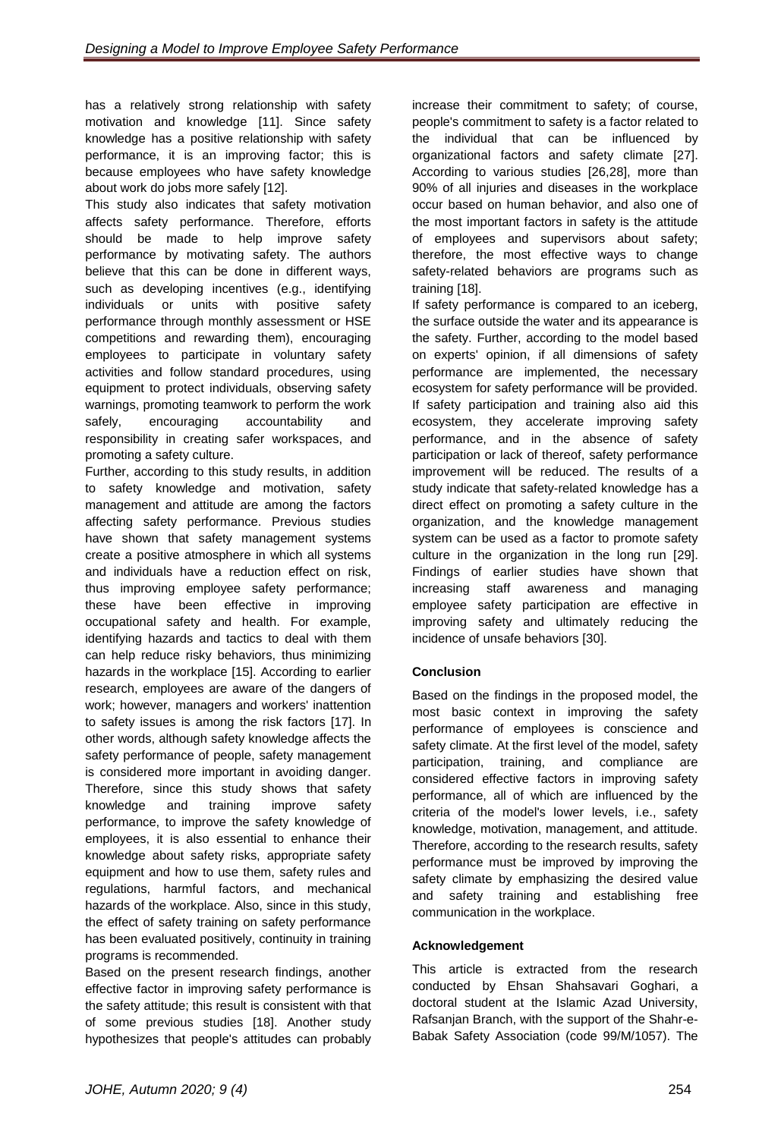has a relatively strong relationship with safety motivation and knowledge [11]. Since safety knowledge has a positive relationship with safety performance, it is an improving factor; this is because employees who have safety knowledge about work do jobs more safely [12].

This study also indicates that safety motivation affects safety performance. Therefore, efforts should be made to help improve safety performance by motivating safety. The authors believe that this can be done in different ways, such as developing incentives (e.g., identifying individuals or units with positive safety performance through monthly assessment or HSE competitions and rewarding them), encouraging employees to participate in voluntary safety activities and follow standard procedures, using equipment to protect individuals, observing safety warnings, promoting teamwork to perform the work safely, encouraging accountability and responsibility in creating safer workspaces, and promoting a safety culture.

Further, according to this study results, in addition to safety knowledge and motivation, safety management and attitude are among the factors affecting safety performance. Previous studies have shown that safety management systems create a positive atmosphere in which all systems and individuals have a reduction effect on risk, thus improving employee safety performance; these have been effective in improving occupational safety and health. For example, identifying hazards and tactics to deal with them can help reduce risky behaviors, thus minimizing hazards in the workplace [15]. According to earlier research, employees are aware of the dangers of work; however, managers and workers' inattention to safety issues is among the risk factors [17]. In other words, although safety knowledge affects the safety performance of people, safety management is considered more important in avoiding danger. Therefore, since this study shows that safety knowledge and training improve safety performance, to improve the safety knowledge of employees, it is also essential to enhance their knowledge about safety risks, appropriate safety equipment and how to use them, safety rules and regulations, harmful factors, and mechanical hazards of the workplace. Also, since in this study, the effect of safety training on safety performance has been evaluated positively, continuity in training programs is recommended.

Based on the present research findings, another effective factor in improving safety performance is the safety attitude; this result is consistent with that of some previous studies [18]. Another study hypothesizes that people's attitudes can probably

increase their commitment to safety; of course, people's commitment to safety is a factor related to the individual that can be influenced by organizational factors and safety climate [27]. According to various studies [26,28], more than 90% of all injuries and diseases in the workplace occur based on human behavior, and also one of the most important factors in safety is the attitude of employees and supervisors about safety; therefore, the most effective ways to change safety-related behaviors are programs such as training [18].

If safety performance is compared to an iceberg, the surface outside the water and its appearance is the safety. Further, according to the model based on experts' opinion, if all dimensions of safety performance are implemented, the necessary ecosystem for safety performance will be provided. If safety participation and training also aid this ecosystem, they accelerate improving safety performance, and in the absence of safety participation or lack of thereof, safety performance improvement will be reduced. The results of a study indicate that safety-related knowledge has a direct effect on promoting a safety culture in the organization, and the knowledge management system can be used as a factor to promote safety culture in the organization in the long run [29]. Findings of earlier studies have shown that increasing staff awareness and managing employee safety participation are effective in improving safety and ultimately reducing the incidence of unsafe behaviors [30].

# **Conclusion**

Based on the findings in the proposed model, the most basic context in improving the safety performance of employees is conscience and safety climate. At the first level of the model, safety participation, training, and compliance are considered effective factors in improving safety performance, all of which are influenced by the criteria of the model's lower levels, i.e., safety knowledge, motivation, management, and attitude. Therefore, according to the research results, safety performance must be improved by improving the safety climate by emphasizing the desired value and safety training and establishing free communication in the workplace.

# **Acknowledgement**

This article is extracted from the research conducted by Ehsan Shahsavari Goghari, a doctoral student at the Islamic Azad University, Rafsanjan Branch, with the support of the Shahr-e-Babak Safety Association (code 99/M/1057). The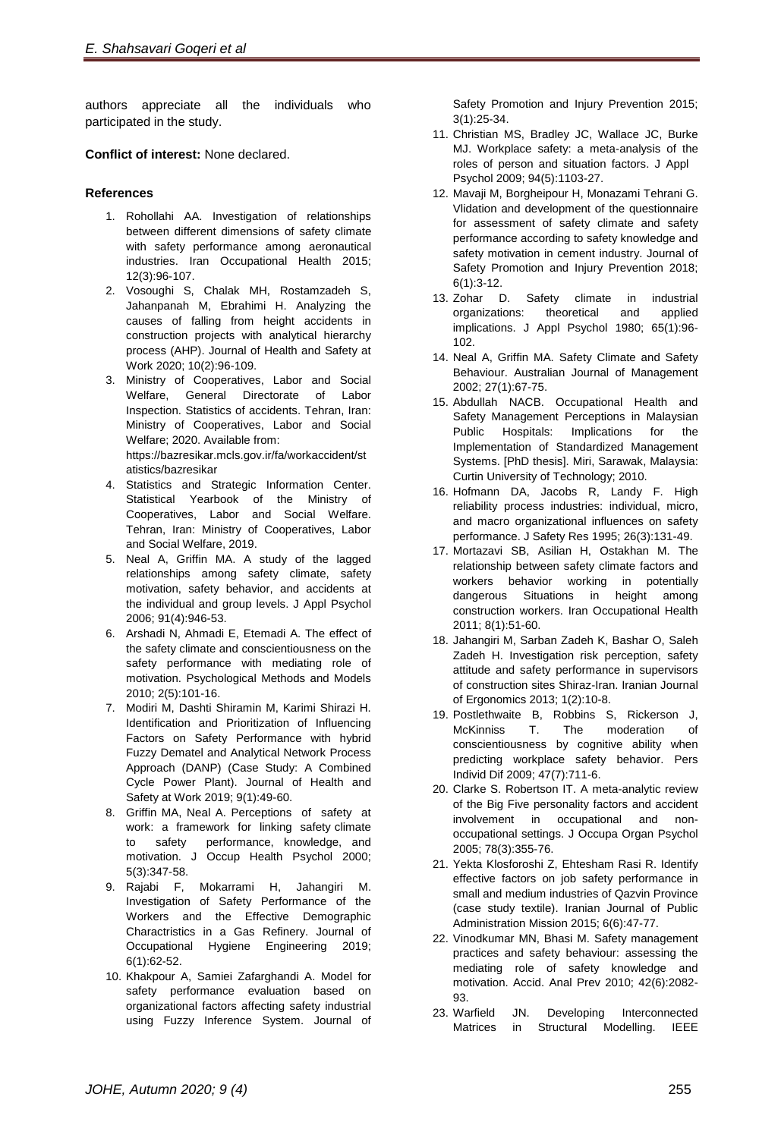authors appreciate all the individuals who participated in the study.

**Conflict of interest:** None declared.

# **References**

- 1. Rohollahi AA. Investigation of relationships between different dimensions of safety climate with safety performance among [aeronautical](http://ioh.iums.ac.ir/article-1-1407-en.pdf)  [industries.](http://ioh.iums.ac.ir/article-1-1407-en.pdf) Iran Occupational Health 2015; 12(3):96-107.
- 2. Vosoughi S, Chalak MH, Rostamzadeh S, Jahanpanah M, Ebrahimi H. Analyzing the causes of falling from height accidents in construction projects with analytical hierarchy process (AHP). Journal of Health and Safety at Work 2020; 10(2):96-109.
- 3. Ministry of Cooperatives, Labor and Social Welfare, General Directorate of Labor Inspection. Statistics of accidents. Tehran, Iran: Ministry of Cooperatives, Labor and Social Welfare; 2020. Available from: https://bazresikar.mcls.gov.ir/fa/workaccident/st atistics/bazresikar
- 4. Statistics and Strategic Information Center. Statistical Yearbook of the Ministry of Cooperatives, Labor and Social Welfare. Tehran, Iran: Ministry of Cooperatives, Labor and Social Welfare, 2019.
- 5. Neal A, Griffin MA. A study of the lagged relationships among safety climate, safety motivation, safety behavior, and accidents at the individual and group levels. J Appl Psychol 2006; 91(4):946-53.
- 6. Arshadi N, Ahmadi E, Etemadi A. The effect of the safety climate and conscientiousness on the safety performance with mediating role of motivation. Psychological Methods and Models 2010; 2(5):101-16.
- 7. Modiri M, Dashti Shiramin M, Karimi Shirazi H. Identification and Prioritization of Influencing Factors on Safety Performance with hybrid Fuzzy Dematel and Analytical Network Process Approach (DANP) (Case Study: A Combined Cycle Power Plant). Journal of Health and Safety at Work 2019; 9(1):49-60.
- 8. Griffin MA, Neal A. Perceptions of safety at work: a framework for linking safety climate to safety performance, knowledge, and motivation. J Occup Health Psychol 2000; 5(3):347-58.
- 9. Rajabi F, Mokarrami H, Jahangiri M. Investigation of Safety Performance of the Workers and the Effective Demographic Charactristics in a Gas Refinery. Journal of Occupational Hygiene Engineering 2019; 6(1):62-52.
- 10. Khakpour A, [Samiei Zafarghandi A.](https://www.sid.ir/En/Journal/SearchPaper.aspx?writer=656331) Model for safety performance evaluation based on organizational factors affecting safety industrial using Fuzzy Inference System. Journal of

Safety Promotion and Injury Prevention 2015; 3(1):25-34.

- 11. Christian MS, Bradley JC, Wallace JC, Burke MJ. Workplace safety: a meta-analysis of the roles of person and situation factors. J Appl Psychol 2009; 94(5):1103-27.
- 12. Mavaji M, Borgheipour H, Monazami Tehrani G. Vlidation and development of the questionnaire for assessment of safety climate and safety performance according to safety knowledge and safety motivation in cement industry. Journal of Safety Promotion and Injury Prevention 2018; 6(1):3-12.
- 13. Zohar D. Safety climate in industrial organizations: theoretical and applied implications. J Appl Psychol 1980; 65(1):96- 102.
- 14. Neal A, Griffin MA. Safety Climate and Safety Behaviour. Australian Journal of Management 2002; 27(1):67-75.
- 15. Abdullah NACB. Occupational Health and Safety Management Perceptions in Malaysian Public Hospitals: Implications for the Implementation of Standardized Management Systems. [PhD thesis]. [Miri,](https://en.wikipedia.org/wiki/Miri,_Malaysia) [Sarawak,](https://en.wikipedia.org/wiki/Sarawak) Malaysia: Curtin University of Technology; 2010.
- 16. Hofmann DA, Jacobs R, Landy F. High reliability process industries: individual, micro, and macro organizational influences on safety performance. J Safety Res 1995; 26(3):131-49.
- 17. Mortazavi SB, Asilian H, Ostakhan M. The relationship between safety climate factors and workers behavior working in potentially dangerous Situations in height among construction workers. Iran Occupational Health 2011; 8(1):51-60.
- 18. Jahangiri M, Sarban Zadeh K, Bashar O, Saleh Zadeh H. Investigation risk perception, safety attitude and safety performance in supervisors of construction sites Shiraz-Iran. Iranian Journal of Ergonomics 2013; 1(2):10-8.
- 19. Postlethwaite B, Robbins S, Rickerson J, McKinniss T. The moderation of conscientiousness by cognitive ability when predicting workplace safety behavior. Pers Individ Dif 2009; 47(7):711-6.
- 20. Clarke S. Robertson IT. A meta-analytic review of the Big Five personality factors and accident involvement in occupational and nonoccupational settings. J Occupa Organ Psychol 2005; 78(3):355-76.
- 21. Yekta Klosforoshi Z, Ehtesham Rasi R. Identify effective factors on job safety performance in small and medium industries of Qazvin Province (case study textile). Iranian Journal of Public Administration Mission 2015; 6(6):47-77.
- 22. Vinodkumar MN, Bhasi M. Safety management practices and safety behaviour: assessing the mediating role of safety knowledge and motivation. Accid. Anal Prev 2010; 42(6):2082- 93.
- 23. Warfield JN. Developing Interconnected Matrices in Structural Modelling. IEEE